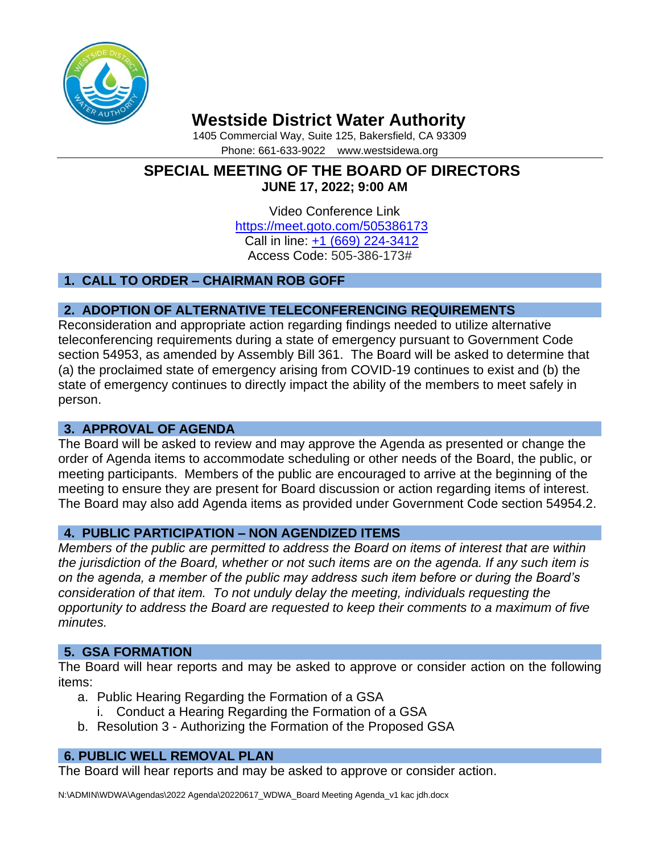

# **Westside District Water Authority**

1405 Commercial Way, Suite 125, Bakersfield, CA 93309 Phone: 661-633-9022 www.westsidewa.org

# **SPECIAL MEETING OF THE BOARD OF DIRECTORS JUNE 17, 2022; 9:00 AM**

Video Conference Link <https://meet.goto.com/505386173> Call in line: [+1 \(669\) 224-3412](tel:+16692243412,,505386173) Access Code: 505-386-173#

# **1. CALL TO ORDER – CHAIRMAN ROB GOFF**

# **2. ADOPTION OF ALTERNATIVE TELECONFERENCING REQUIREMENTS**

Reconsideration and appropriate action regarding findings needed to utilize alternative teleconferencing requirements during a state of emergency pursuant to Government Code section 54953, as amended by Assembly Bill 361. The Board will be asked to determine that (a) the proclaimed state of emergency arising from COVID-19 continues to exist and (b) the state of emergency continues to directly impact the ability of the members to meet safely in person.

## **3. APPROVAL OF AGENDA**

The Board will be asked to review and may approve the Agenda as presented or change the order of Agenda items to accommodate scheduling or other needs of the Board, the public, or meeting participants. Members of the public are encouraged to arrive at the beginning of the meeting to ensure they are present for Board discussion or action regarding items of interest. The Board may also add Agenda items as provided under Government Code section 54954.2.

## **4. PUBLIC PARTICIPATION – NON AGENDIZED ITEMS**

*Members of the public are permitted to address the Board on items of interest that are within the jurisdiction of the Board, whether or not such items are on the agenda. If any such item is on the agenda, a member of the public may address such item before or during the Board's consideration of that item. To not unduly delay the meeting, individuals requesting the opportunity to address the Board are requested to keep their comments to a maximum of five minutes.*

## **5. GSA FORMATION**

The Board will hear reports and may be asked to approve or consider action on the following items:

- a. Public Hearing Regarding the Formation of a GSA
	- i. Conduct a Hearing Regarding the Formation of a GSA
- b. Resolution 3 Authorizing the Formation of the Proposed GSA

## **6. PUBLIC WELL REMOVAL PLAN**

The Board will hear reports and may be asked to approve or consider action.

N:\ADMIN\WDWA\Agendas\2022 Agenda\20220617\_WDWA\_Board Meeting Agenda\_v1 kac jdh.docx